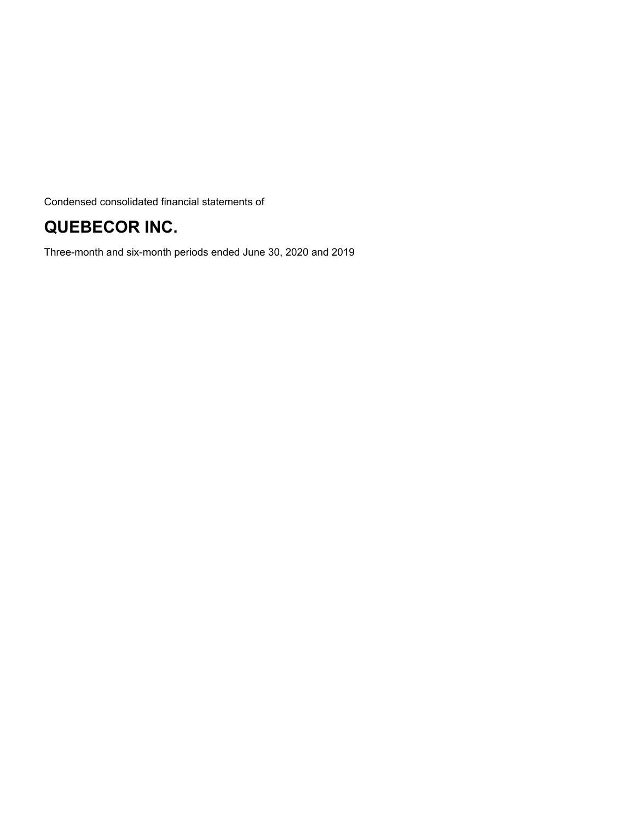Condensed consolidated financial statements of

## **QUEBECOR INC.**

Three-month and six-month periods ended June 30, 2020 and 2019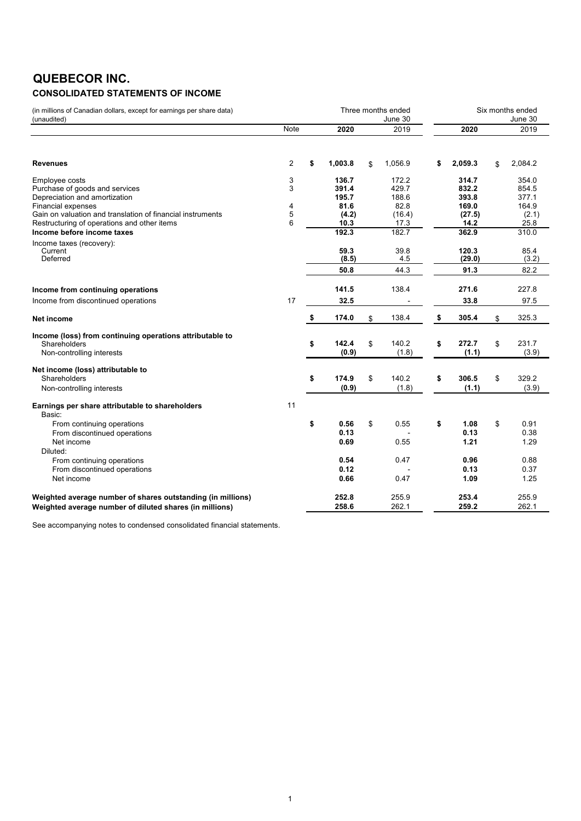# **QUEBECOR INC.**

### **CONSOLIDATED STATEMENTS OF INCOME**

| (in millions of Canadian dollars, except for earnings per share data)<br>(unaudited) |             |    |                |    | Three months ended<br>June 30 |                | Six months ended<br>June 30 |
|--------------------------------------------------------------------------------------|-------------|----|----------------|----|-------------------------------|----------------|-----------------------------|
|                                                                                      | <b>Note</b> |    | 2020           |    | 2019                          | 2020           | 2019                        |
| <b>Revenues</b>                                                                      | 2           | \$ | 1,003.8        | \$ | 1,056.9                       | \$<br>2,059.3  | \$<br>2,084.2               |
|                                                                                      |             |    |                |    |                               |                |                             |
| Employee costs<br>Purchase of goods and services                                     | 3<br>3      |    | 136.7<br>391.4 |    | 172.2<br>429.7                | 314.7<br>832.2 | 354.0<br>854.5              |
| Depreciation and amortization                                                        |             |    | 195.7          |    | 188.6                         | 393.8          | 377.1                       |
| <b>Financial expenses</b>                                                            | 4           |    | 81.6           |    | 82.8                          | 169.0          | 164.9                       |
| Gain on valuation and translation of financial instruments                           | 5           |    | (4.2)          |    | (16.4)                        | (27.5)         | (2.1)                       |
| Restructuring of operations and other items                                          | 6           |    | 10.3<br>192.3  |    | 17.3<br>182.7                 | 14.2<br>362.9  | 25.8<br>310.0               |
| Income before income taxes                                                           |             |    |                |    |                               |                |                             |
| Income taxes (recovery):<br>Current                                                  |             |    | 59.3           |    | 39.8                          | 120.3          | 85.4                        |
| Deferred                                                                             |             |    | (8.5)          |    | 4.5                           | (29.0)         | (3.2)                       |
|                                                                                      |             |    | 50.8           |    | 44.3                          | 91.3           | 82.2                        |
|                                                                                      |             |    | 141.5          |    | 138.4                         |                |                             |
| Income from continuing operations                                                    |             |    |                |    |                               | 271.6          | 227.8                       |
| Income from discontinued operations                                                  | 17          |    | 32.5           |    |                               | 33.8           | 97.5                        |
| Net income                                                                           |             | \$ | 174.0          | \$ | 138.4                         | \$<br>305.4    | \$<br>325.3                 |
| Income (loss) from continuing operations attributable to                             |             |    |                |    |                               |                |                             |
| Shareholders                                                                         |             | \$ | 142.4          | \$ | 140.2                         | \$<br>272.7    | \$<br>231.7                 |
| Non-controlling interests                                                            |             |    | (0.9)          |    | (1.8)                         | (1.1)          | (3.9)                       |
| Net income (loss) attributable to                                                    |             |    |                |    |                               |                |                             |
| Shareholders                                                                         |             | \$ | 174.9          | \$ | 140.2                         | \$<br>306.5    | \$<br>329.2                 |
| Non-controlling interests                                                            |             |    | (0.9)          |    | (1.8)                         | (1.1)          | (3.9)                       |
| Earnings per share attributable to shareholders<br>Basic:                            | 11          |    |                |    |                               |                |                             |
| From continuing operations                                                           |             | \$ | 0.56           | \$ | 0.55                          | \$<br>1.08     | \$<br>0.91                  |
| From discontinued operations                                                         |             |    | 0.13           |    |                               | 0.13           | 0.38                        |
| Net income                                                                           |             |    | 0.69           |    | 0.55                          | 1.21           | 1.29                        |
| Diluted:                                                                             |             |    |                |    |                               |                |                             |
| From continuing operations                                                           |             |    | 0.54           |    | 0.47                          | 0.96           | 0.88                        |
| From discontinued operations<br>Net income                                           |             |    | 0.12<br>0.66   |    | 0.47                          | 0.13<br>1.09   | 0.37<br>1.25                |
|                                                                                      |             |    |                |    |                               |                |                             |
| Weighted average number of shares outstanding (in millions)                          |             |    | 252.8          |    | 255.9                         | 253.4          | 255.9                       |
| Weighted average number of diluted shares (in millions)                              |             |    | 258.6          |    | 262.1                         | 259.2          | 262.1                       |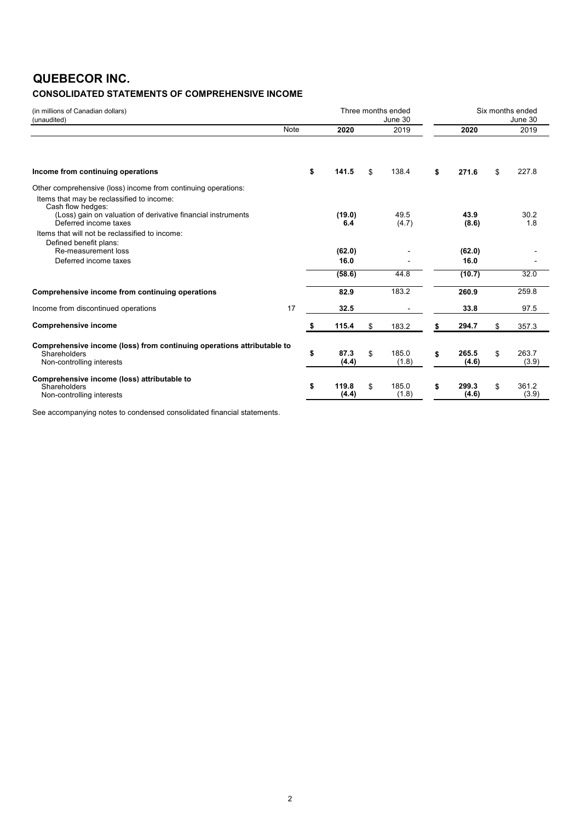### **QUEBECOR INC.**

### **CONSOLIDATED STATEMENTS OF COMPREHENSIVE INCOME**

| (in millions of Canadian dollars)<br>(unaudited)                                                                               |      | Three months ended<br>June 30 |    |                | Six months ended<br>June 30 |                |    |                |  |
|--------------------------------------------------------------------------------------------------------------------------------|------|-------------------------------|----|----------------|-----------------------------|----------------|----|----------------|--|
|                                                                                                                                | Note | 2020                          |    | 2019           |                             | 2020           |    | 2019           |  |
| Income from continuing operations                                                                                              | \$   | 141.5                         | \$ | 138.4          | \$                          | 271.6          | \$ | 227.8          |  |
| Other comprehensive (loss) income from continuing operations:                                                                  |      |                               |    |                |                             |                |    |                |  |
| Items that may be reclassified to income:<br>Cash flow hedges:<br>(Loss) gain on valuation of derivative financial instruments |      | (19.0)                        |    | 49.5           |                             | 43.9           |    | 30.2           |  |
| Deferred income taxes<br>Items that will not be reclassified to income:<br>Defined benefit plans:                              |      | 6.4                           |    | (4.7)          |                             | (8.6)          |    | 1.8            |  |
| Re-measurement loss                                                                                                            |      | (62.0)                        |    |                |                             | (62.0)         |    |                |  |
| Deferred income taxes                                                                                                          |      | 16.0                          |    |                |                             | 16.0           |    |                |  |
|                                                                                                                                |      | (58.6)                        |    | 44.8           |                             | (10.7)         |    | 32.0           |  |
| Comprehensive income from continuing operations                                                                                |      | 82.9                          |    | 183.2          |                             | 260.9          |    | 259.8          |  |
| Income from discontinued operations                                                                                            | 17   | 32.5                          |    |                |                             | 33.8           |    | 97.5           |  |
| <b>Comprehensive income</b>                                                                                                    | \$   | 115.4                         | \$ | 183.2          | \$                          | 294.7          | \$ | 357.3          |  |
| Comprehensive income (loss) from continuing operations attributable to<br>Shareholders<br>Non-controlling interests            | \$   | 87.3<br>(4.4)                 | \$ | 185.0<br>(1.8) | \$                          | 265.5<br>(4.6) | \$ | 263.7<br>(3.9) |  |
| Comprehensive income (loss) attributable to<br>Shareholders<br>Non-controlling interests                                       | \$   | 119.8<br>(4.4)                | \$ | 185.0<br>(1.8) | \$                          | 299.3<br>(4.6) | \$ | 361.2<br>(3.9) |  |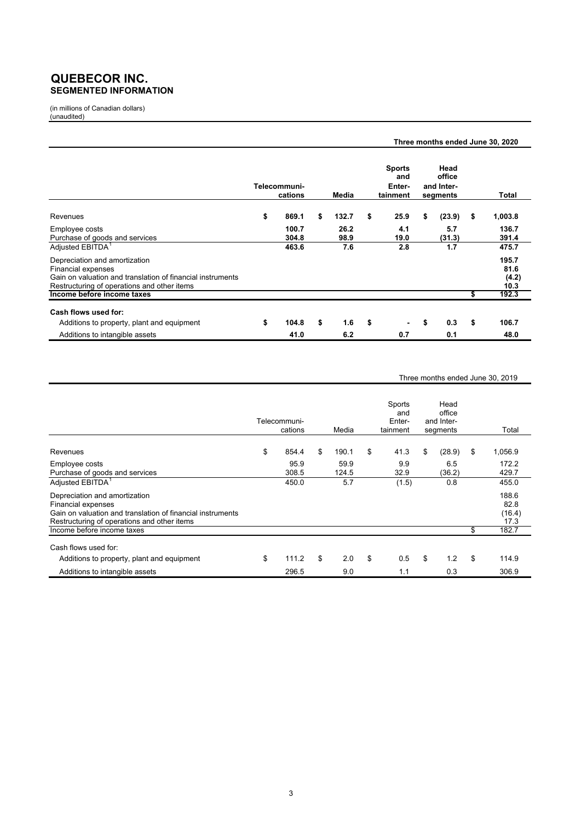### **QUEBECOR INC. SEGMENTED INFORMATION**

(in millions of Canadian dollars) (unaudited)

|                                                                                                                                                                         |                         |              |                                            |                                          | Three months ended June 30, 2020 |                                |
|-------------------------------------------------------------------------------------------------------------------------------------------------------------------------|-------------------------|--------------|--------------------------------------------|------------------------------------------|----------------------------------|--------------------------------|
|                                                                                                                                                                         | Telecommuni-<br>cations | Media        | <b>Sports</b><br>and<br>Enter-<br>tainment | Head<br>office<br>and Inter-<br>segments |                                  | Total                          |
| Revenues                                                                                                                                                                | \$<br>869.1             | \$<br>132.7  | \$<br>25.9                                 | \$<br>(23.9)                             | \$                               | 1,003.8                        |
| Employee costs<br>Purchase of goods and services                                                                                                                        | 100.7<br>304.8          | 26.2<br>98.9 | 4.1<br>19.0                                | 5.7<br>(31.3)                            |                                  | 136.7<br>391.4                 |
| Adjusted EBITDA <sup>1</sup>                                                                                                                                            | 463.6                   | 7.6          | 2.8                                        | 1.7                                      |                                  | 475.7                          |
| Depreciation and amortization<br><b>Financial expenses</b><br>Gain on valuation and translation of financial instruments<br>Restructuring of operations and other items |                         |              |                                            |                                          |                                  | 195.7<br>81.6<br>(4.2)<br>10.3 |
| Income before income taxes                                                                                                                                              |                         |              |                                            |                                          | S                                | 192.3                          |
| Cash flows used for:                                                                                                                                                    |                         |              |                                            |                                          |                                  |                                |
| Additions to property, plant and equipment                                                                                                                              | \$<br>104.8             | \$<br>1.6    | \$<br>$\blacksquare$                       | \$<br>0.3                                | \$                               | 106.7                          |
| Additions to intangible assets                                                                                                                                          | 41.0                    | 6.2          | 0.7                                        | 0.1                                      |                                  | 48.0                           |

#### Three months ended June 30, 2019

|                                                                                                                                                                         | Telecommuni-<br>cations | Media         | Sports<br>and<br>Enter-<br>tainment | Head<br>office<br>and Inter-<br>segments | Total                           |
|-------------------------------------------------------------------------------------------------------------------------------------------------------------------------|-------------------------|---------------|-------------------------------------|------------------------------------------|---------------------------------|
| Revenues                                                                                                                                                                | \$<br>854.4             | \$<br>190.1   | \$<br>41.3                          | \$<br>(28.9)                             | \$<br>1,056.9                   |
| Employee costs<br>Purchase of goods and services                                                                                                                        | 95.9<br>308.5           | 59.9<br>124.5 | 9.9<br>32.9                         | 6.5<br>(36.2)                            | 172.2<br>429.7                  |
| Adjusted EBITDA <sup>1</sup>                                                                                                                                            | 450.0                   | 5.7           | (1.5)                               | 0.8                                      | 455.0                           |
| Depreciation and amortization<br><b>Financial expenses</b><br>Gain on valuation and translation of financial instruments<br>Restructuring of operations and other items |                         |               |                                     |                                          | 188.6<br>82.8<br>(16.4)<br>17.3 |
| Income before income taxes                                                                                                                                              |                         |               |                                     |                                          | \$<br>182.7                     |
| Cash flows used for:                                                                                                                                                    |                         |               |                                     |                                          |                                 |
| Additions to property, plant and equipment                                                                                                                              | \$<br>111.2             | \$<br>2.0     | \$<br>0.5                           | \$<br>1.2                                | \$<br>114.9                     |
| Additions to intangible assets                                                                                                                                          | 296.5                   | 9.0           | 1.1                                 | 0.3                                      | 306.9                           |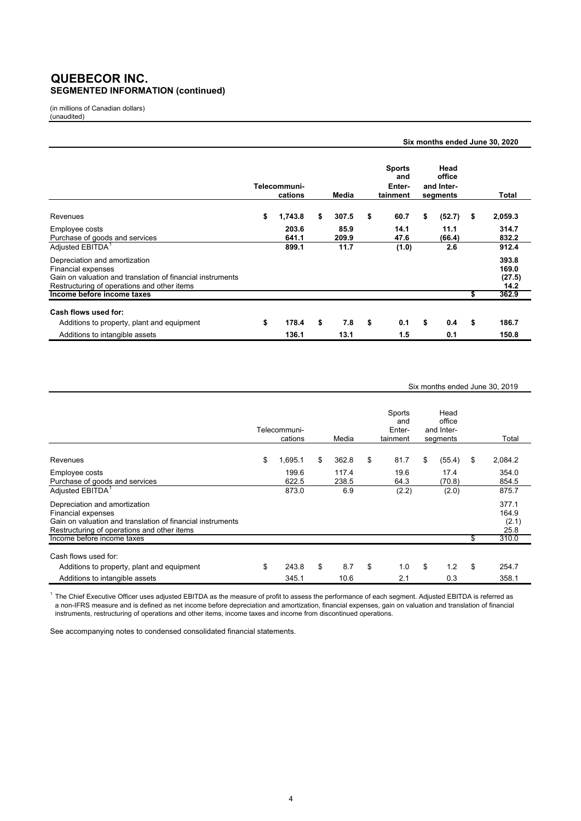### **QUEBECOR INC. SEGMENTED INFORMATION (continued)**

(in millions of Canadian dollars) (unaudited)

|                                                                                                                                                                         | Six months ended June 30, 2020 |                         |    |               |    |                                            |    |                                          |      |                                  |  |
|-------------------------------------------------------------------------------------------------------------------------------------------------------------------------|--------------------------------|-------------------------|----|---------------|----|--------------------------------------------|----|------------------------------------------|------|----------------------------------|--|
|                                                                                                                                                                         |                                | Telecommuni-<br>cations |    | Media         |    | <b>Sports</b><br>and<br>Enter-<br>tainment |    | Head<br>office<br>and Inter-<br>segments |      | Total                            |  |
| Revenues                                                                                                                                                                | \$                             | 1,743.8                 | \$ | 307.5         | \$ | 60.7                                       | \$ | (52.7)                                   | - \$ | 2,059.3                          |  |
| Employee costs<br>Purchase of goods and services                                                                                                                        |                                | 203.6<br>641.1          |    | 85.9<br>209.9 |    | 14.1<br>47.6                               |    | 11.1<br>(66.4)                           |      | 314.7<br>832.2                   |  |
| Adjusted EBITDA <sup>1</sup>                                                                                                                                            |                                | 899.1                   |    | 11.7          |    | (1.0)                                      |    | 2.6                                      |      | 912.4                            |  |
| Depreciation and amortization<br><b>Financial expenses</b><br>Gain on valuation and translation of financial instruments<br>Restructuring of operations and other items |                                |                         |    |               |    |                                            |    |                                          |      | 393.8<br>169.0<br>(27.5)<br>14.2 |  |
| Income before income taxes                                                                                                                                              |                                |                         |    |               |    |                                            |    |                                          | \$   | 362.9                            |  |
| Cash flows used for:                                                                                                                                                    |                                |                         |    |               |    |                                            |    |                                          |      |                                  |  |
| Additions to property, plant and equipment                                                                                                                              | \$                             | 178.4                   | \$ | 7.8           | \$ | 0.1                                        | \$ | 0.4                                      | \$   | 186.7                            |  |
| Additions to intangible assets                                                                                                                                          |                                | 136.1                   |    | 13.1          |    | 1.5                                        |    | 0.1                                      |      | 150.8                            |  |

#### Six months ended June 30, 2019

|                                                                                                                                                                         | Telecommuni-<br>cations | Media             | Sports<br>and<br>Enter-<br>tainment | Head<br>office<br>and Inter-<br>segments | Total                           |
|-------------------------------------------------------------------------------------------------------------------------------------------------------------------------|-------------------------|-------------------|-------------------------------------|------------------------------------------|---------------------------------|
| Revenues                                                                                                                                                                | \$<br>1,695.1           | \$<br>362.8       | \$<br>81.7                          | \$<br>(55.4)                             | \$<br>2,084.2                   |
| Employee costs<br>Purchase of goods and services                                                                                                                        | 199.6<br>622.5          | 117.4<br>238.5    | 19.6<br>64.3                        | 17.4<br>(70.8)                           | 354.0<br>854.5                  |
| Adjusted EBITDA <sup>1</sup>                                                                                                                                            | 873.0                   | 6.9               | (2.2)                               | (2.0)                                    | 875.7                           |
| Depreciation and amortization<br><b>Financial expenses</b><br>Gain on valuation and translation of financial instruments<br>Restructuring of operations and other items |                         |                   |                                     |                                          | 377.1<br>164.9<br>(2.1)<br>25.8 |
| Income before income taxes                                                                                                                                              |                         |                   |                                     |                                          | \$<br>310.0                     |
| Cash flows used for:                                                                                                                                                    |                         |                   |                                     |                                          |                                 |
| Additions to property, plant and equipment<br>Additions to intangible assets                                                                                            | \$<br>243.8<br>345.1    | \$<br>8.7<br>10.6 | \$<br>1.0<br>2.1                    | \$<br>1.2<br>0.3                         | \$<br>254.7<br>358.1            |

<sup>1</sup> The Chief Executive Officer uses adjusted EBITDA as the measure of profit to assess the performance of each segment. Adjusted EBITDA is referred as a non-IFRS measure and is defined as net income before depreciation and amortization, financial expenses, gain on valuation and translation of financial instruments, restructuring of operations and other items, income taxes and income from discontinued operations.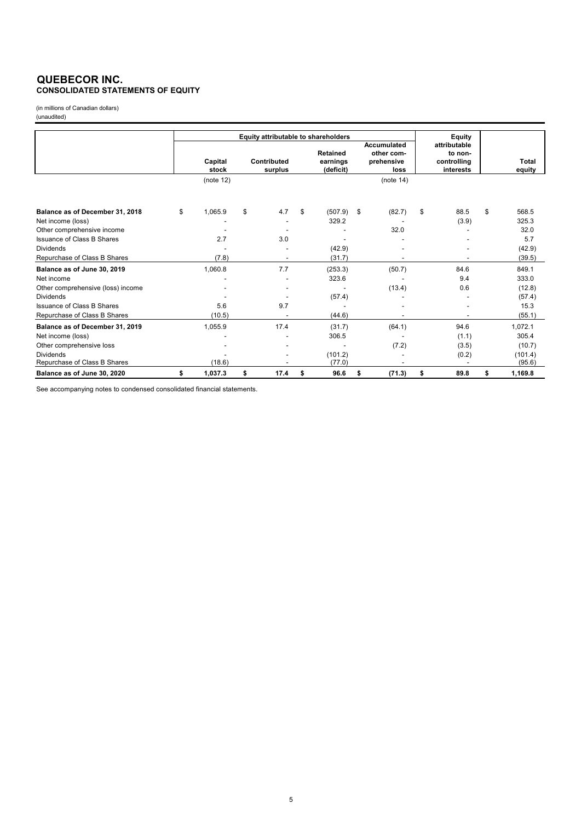### **QUEBECOR INC. CONSOLIDATED STATEMENTS OF EQUITY**

(in millions of Canadian dollars) (unaudited)

|                                   |                  | Equity attributable to shareholders |                                          |                                                        | Equity |                                                     |    |                        |
|-----------------------------------|------------------|-------------------------------------|------------------------------------------|--------------------------------------------------------|--------|-----------------------------------------------------|----|------------------------|
|                                   | Capital<br>stock | Contributed<br>surplus              | <b>Retained</b><br>earnings<br>(deficit) | <b>Accumulated</b><br>other com-<br>prehensive<br>loss |        | attributable<br>to non-<br>controlling<br>interests |    | <b>Total</b><br>equity |
|                                   | (note 12)        |                                     |                                          | (note 14)                                              |        |                                                     |    |                        |
| Balance as of December 31, 2018   | \$<br>1,065.9    | \$<br>4.7                           | \$<br>(507.9)                            | \$<br>(82.7)                                           | \$     | 88.5                                                | \$ | 568.5                  |
| Net income (loss)                 |                  |                                     | 329.2                                    |                                                        |        | (3.9)                                               |    | 325.3                  |
| Other comprehensive income        |                  |                                     |                                          | 32.0                                                   |        |                                                     |    | 32.0                   |
| Issuance of Class B Shares        | 2.7              | 3.0                                 |                                          |                                                        |        |                                                     |    | 5.7                    |
| <b>Dividends</b>                  |                  |                                     | (42.9)                                   |                                                        |        |                                                     |    | (42.9)                 |
| Repurchase of Class B Shares      | (7.8)            |                                     | (31.7)                                   |                                                        |        |                                                     |    | (39.5)                 |
| Balance as of June 30, 2019       | 1,060.8          | 7.7                                 | (253.3)                                  | (50.7)                                                 |        | 84.6                                                |    | 849.1                  |
| Net income                        |                  |                                     | 323.6                                    |                                                        |        | 9.4                                                 |    | 333.0                  |
| Other comprehensive (loss) income |                  |                                     |                                          | (13.4)                                                 |        | 0.6                                                 |    | (12.8)                 |
| <b>Dividends</b>                  |                  |                                     | (57.4)                                   |                                                        |        |                                                     |    | (57.4)                 |
| <b>Issuance of Class B Shares</b> | 5.6              | 9.7                                 |                                          |                                                        |        |                                                     |    | 15.3                   |
| Repurchase of Class B Shares      | (10.5)           |                                     | (44.6)                                   |                                                        |        |                                                     |    | (55.1)                 |
| Balance as of December 31, 2019   | 1,055.9          | 17.4                                | (31.7)                                   | (64.1)                                                 |        | 94.6                                                |    | 1,072.1                |
| Net income (loss)                 |                  |                                     | 306.5                                    |                                                        |        | (1.1)                                               |    | 305.4                  |
| Other comprehensive loss          |                  |                                     |                                          | (7.2)                                                  |        | (3.5)                                               |    | (10.7)                 |
| <b>Dividends</b>                  |                  |                                     | (101.2)                                  |                                                        |        | (0.2)                                               |    | (101.4)                |
| Repurchase of Class B Shares      | (18.6)           |                                     | (77.0)                                   |                                                        |        |                                                     |    | (95.6)                 |
| Balance as of June 30, 2020       | \$<br>1,037.3    | \$<br>17.4                          | \$<br>96.6                               | \$<br>(71.3)                                           | \$     | 89.8                                                | \$ | 1,169.8                |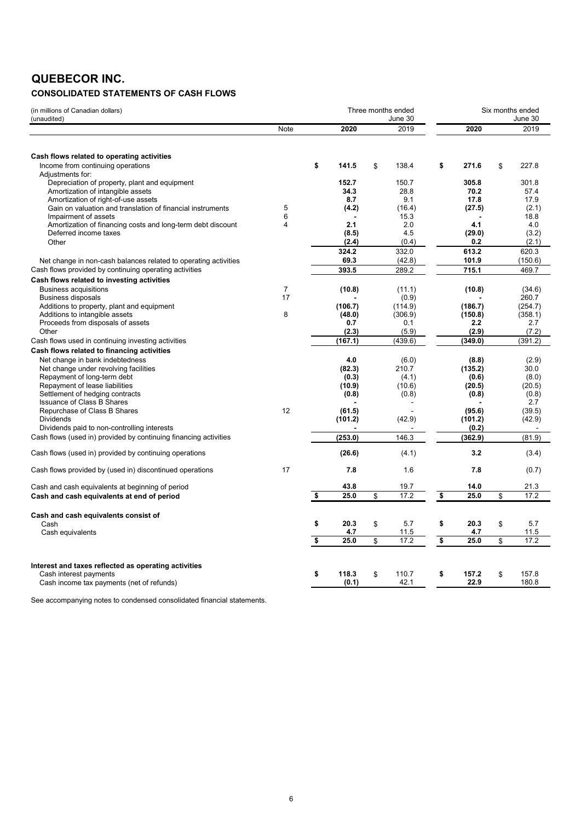### **QUEBECOR INC.**

### **CONSOLIDATED STATEMENTS OF CASH FLOWS**

| (in millions of Canadian dollars)<br>(unaudited)                                                                |                      |                      | Three months ended<br>June 30 |    | Six months ended<br>June 30 |    |                            |
|-----------------------------------------------------------------------------------------------------------------|----------------------|----------------------|-------------------------------|----|-----------------------------|----|----------------------------|
|                                                                                                                 | Note                 | 2020                 | 2019                          |    | 2020                        |    | 2019                       |
| Cash flows related to operating activities<br>Income from continuing operations                                 |                      | \$<br>141.5          | \$<br>138.4                   | \$ | 271.6                       | \$ | 227.8                      |
| Adjustments for:<br>Depreciation of property, plant and equipment<br>Amortization of intangible assets          |                      | 152.7<br>34.3        | 150.7<br>28.8                 |    | 305.8<br>70.2               |    | 301.8<br>57.4              |
| Amortization of right-of-use assets<br>Gain on valuation and translation of financial instruments               | 5                    | 8.7<br>(4.2)         | 9.1<br>(16.4)                 |    | 17.8<br>(27.5)              |    | 17.9<br>(2.1)              |
| Impairment of assets<br>Amortization of financing costs and long-term debt discount                             | 6<br>4               | 2.1                  | 15.3<br>2.0                   |    | 4.1                         |    | 18.8<br>4.0                |
| Deferred income taxes<br>Other                                                                                  |                      | (8.5)<br>(2.4)       | 4.5<br>(0.4)                  |    | (29.0)<br>0.2               |    | (3.2)<br>(2.1)             |
| Net change in non-cash balances related to operating activities                                                 |                      | 324.2<br>69.3        | 332.0<br>(42.8)               |    | 613.2<br>101.9              |    | 620.3<br>(150.6)           |
| Cash flows provided by continuing operating activities<br>Cash flows related to investing activities            |                      | 393.5                | 289.2                         |    | 715.1                       |    | 469.7                      |
| <b>Business acquisitions</b><br><b>Business disposals</b><br>Additions to property, plant and equipment         | $\overline{7}$<br>17 | (10.8)<br>(106.7)    | (11.1)<br>(0.9)<br>(114.9)    |    | (10.8)<br>(186.7)           |    | (34.6)<br>260.7<br>(254.7) |
| Additions to intangible assets<br>Proceeds from disposals of assets                                             | 8                    | (48.0)<br>0.7        | (306.9)<br>0.1                |    | (150.8)<br>2.2              |    | (358.1)<br>2.7             |
| Other<br>Cash flows used in continuing investing activities                                                     |                      | (2.3)<br>(167.1)     | (5.9)<br>(439.6)              |    | (2.9)<br>(349.0)            |    | (7.2)<br>(391.2)           |
| Cash flows related to financing activities<br>Net change in bank indebtedness                                   |                      | 4.0                  | (6.0)                         |    | (8.8)                       |    | (2.9)                      |
| Net change under revolving facilities<br>Repayment of long-term debt                                            |                      | (82.3)<br>(0.3)      | 210.7<br>(4.1)                |    | (135.2)<br>(0.6)            |    | 30.0<br>(8.0)              |
| Repayment of lease liabilities<br>Settlement of hedging contracts<br><b>Issuance of Class B Shares</b>          |                      | (10.9)<br>(0.8)      | (10.6)<br>(0.8)               |    | (20.5)<br>(0.8)             |    | (20.5)<br>(0.8)<br>2.7     |
| Repurchase of Class B Shares<br><b>Dividends</b>                                                                | 12                   | (61.5)<br>(101.2)    | (42.9)                        |    | (95.6)<br>(101.2)           |    | (39.5)<br>(42.9)           |
| Dividends paid to non-controlling interests<br>Cash flows (used in) provided by continuing financing activities |                      | (253.0)              | 146.3                         |    | (0.2)<br>(362.9)            |    | (81.9)                     |
| Cash flows (used in) provided by continuing operations                                                          |                      | (26.6)               | (4.1)                         |    | 3.2                         |    | (3.4)                      |
| Cash flows provided by (used in) discontinued operations                                                        | 17                   | 7.8                  | 1.6                           |    | 7.8                         |    | (0.7)                      |
| Cash and cash equivalents at beginning of period<br>Cash and cash equivalents at end of period                  |                      | \$<br>43.8<br>25.0   | \$<br>19.7<br>17.2            | \$ | 14.0<br>25.0                | \$ | 21.3<br>17.2               |
|                                                                                                                 |                      |                      |                               |    |                             |    |                            |
| Cash and cash equivalents consist of<br>Cash<br>Cash equivalents                                                |                      | \$<br>20.3<br>4.7    | \$<br>5.7<br>11.5             | \$ | 20.3<br>4.7                 | \$ | 5.7<br>11.5                |
|                                                                                                                 |                      | \$<br>25.0           | \$<br>$\overline{17.2}$       | \$ | 25.0                        | \$ | 17.2                       |
| Interest and taxes reflected as operating activities                                                            |                      |                      |                               |    |                             |    |                            |
| Cash interest payments<br>Cash income tax payments (net of refunds)                                             |                      | \$<br>118.3<br>(0.1) | \$<br>110.7<br>42.1           | \$ | 157.2<br>22.9               | \$ | 157.8<br>180.8             |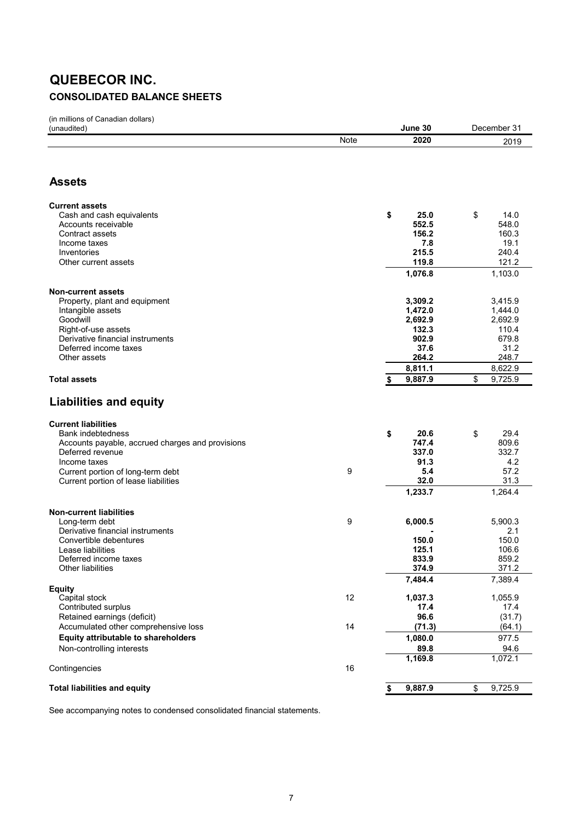## **QUEBECOR INC. CONSOLIDATED BALANCE SHEETS**

(in millions of Canadian dollars)

| (unaudited)                                                               |      | June 30          | December 31      |
|---------------------------------------------------------------------------|------|------------------|------------------|
|                                                                           | Note | 2020             | 2019             |
|                                                                           |      |                  |                  |
|                                                                           |      |                  |                  |
| <b>Assets</b>                                                             |      |                  |                  |
| <b>Current assets</b>                                                     |      |                  |                  |
| Cash and cash equivalents                                                 |      | \$<br>25.0       | \$<br>14.0       |
| Accounts receivable                                                       |      | 552.5            | 548.0            |
| Contract assets                                                           |      | 156.2            | 160.3            |
| Income taxes                                                              |      | 7.8              | 19.1             |
| Inventories                                                               |      | 215.5            | 240.4            |
| Other current assets                                                      |      | 119.8<br>1,076.8 | 121.2<br>1,103.0 |
|                                                                           |      |                  |                  |
| <b>Non-current assets</b>                                                 |      |                  |                  |
| Property, plant and equipment                                             |      | 3,309.2          | 3,415.9          |
| Intangible assets                                                         |      | 1,472.0          | 1,444.0          |
| Goodwill<br>Right-of-use assets                                           |      | 2,692.9<br>132.3 | 2,692.9<br>110.4 |
| Derivative financial instruments                                          |      | 902.9            | 679.8            |
| Deferred income taxes                                                     |      | 37.6             | 31.2             |
| Other assets                                                              |      | 264.2            | 248.7            |
|                                                                           |      | 8,811.1          | 8,622.9          |
| <b>Total assets</b>                                                       |      | 9,887.9<br>\$    | \$<br>9,725.9    |
|                                                                           |      |                  |                  |
| <b>Liabilities and equity</b>                                             |      |                  |                  |
| <b>Current liabilities</b>                                                |      |                  |                  |
| Bank indebtedness                                                         |      | 20.6<br>\$       | \$<br>29.4       |
| Accounts payable, accrued charges and provisions                          |      | 747.4            | 809.6            |
| Deferred revenue                                                          |      | 337.0            | 332.7            |
| Income taxes                                                              |      | 91.3             | 4.2              |
| Current portion of long-term debt<br>Current portion of lease liabilities | 9    | 5.4<br>32.0      | 57.2<br>31.3     |
|                                                                           |      | 1,233.7          |                  |
|                                                                           |      |                  | 1,264.4          |
| <b>Non-current liabilities</b>                                            |      |                  |                  |
| Long-term debt                                                            | 9    | 6,000.5          | 5,900.3          |
| Derivative financial instruments                                          |      |                  | 2.1              |
| Convertible debentures<br>Lease liabilities                               |      | 150.0<br>125.1   | 150.0<br>106.6   |
| Deferred income taxes                                                     |      | 833.9            | 859.2            |
| Other liabilities                                                         |      | 374.9            | 371.2            |
|                                                                           |      | 7,484.4          | 7,389.4          |
| <b>Equity</b>                                                             | 12   |                  |                  |
| Capital stock<br>Contributed surplus                                      |      | 1,037.3<br>17.4  | 1,055.9<br>17.4  |
| Retained earnings (deficit)                                               |      | 96.6             | (31.7)           |
| Accumulated other comprehensive loss                                      | 14   | (71.3)           | (64.1)           |
| Equity attributable to shareholders                                       |      | 1,080.0          | 977.5            |
| Non-controlling interests                                                 |      | 89.8             | 94.6             |
|                                                                           |      | 1,169.8          | 1,072.1          |
| Contingencies                                                             | 16   |                  |                  |
| <b>Total liabilities and equity</b>                                       |      | 9,887.9<br>\$    | 9,725.9          |
|                                                                           |      |                  | \$               |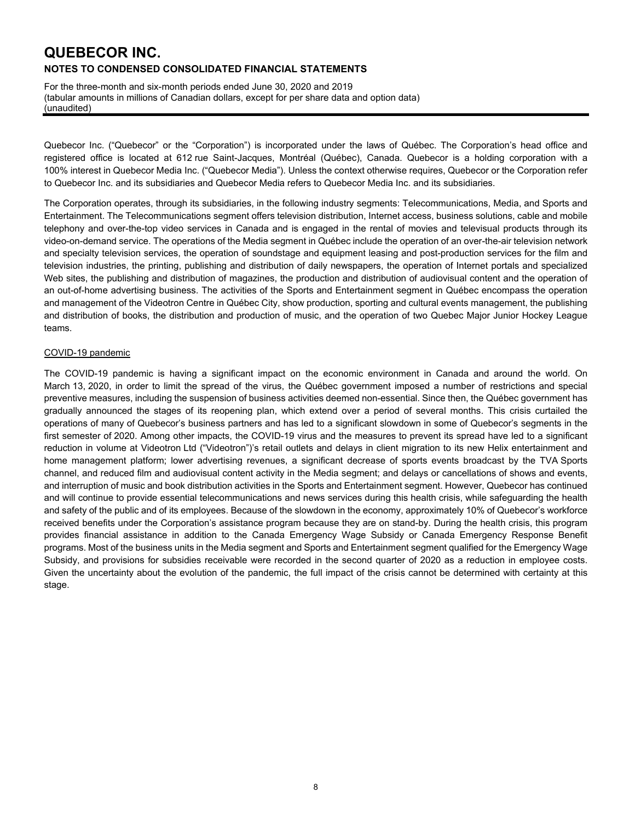For the three-month and six-month periods ended June 30, 2020 and 2019 (tabular amounts in millions of Canadian dollars, except for per share data and option data) (unaudited)

Quebecor Inc. ("Quebecor" or the "Corporation") is incorporated under the laws of Québec. The Corporation's head office and registered office is located at 612 rue Saint-Jacques, Montréal (Québec), Canada. Quebecor is a holding corporation with a 100% interest in Quebecor Media Inc. ("Quebecor Media"). Unless the context otherwise requires, Quebecor or the Corporation refer to Quebecor Inc. and its subsidiaries and Quebecor Media refers to Quebecor Media Inc. and its subsidiaries.

The Corporation operates, through its subsidiaries, in the following industry segments: Telecommunications, Media, and Sports and Entertainment. The Telecommunications segment offers television distribution, Internet access, business solutions, cable and mobile telephony and over-the-top video services in Canada and is engaged in the rental of movies and televisual products through its video-on-demand service. The operations of the Media segment in Québec include the operation of an over-the-air television network and specialty television services, the operation of soundstage and equipment leasing and post-production services for the film and television industries, the printing, publishing and distribution of daily newspapers, the operation of Internet portals and specialized Web sites, the publishing and distribution of magazines, the production and distribution of audiovisual content and the operation of an out-of-home advertising business. The activities of the Sports and Entertainment segment in Québec encompass the operation and management of the Videotron Centre in Québec City, show production, sporting and cultural events management, the publishing and distribution of books, the distribution and production of music, and the operation of two Quebec Major Junior Hockey League teams.

#### COVID-19 pandemic

The COVID-19 pandemic is having a significant impact on the economic environment in Canada and around the world. On March 13, 2020, in order to limit the spread of the virus, the Québec government imposed a number of restrictions and special preventive measures, including the suspension of business activities deemed non-essential. Since then, the Québec government has gradually announced the stages of its reopening plan, which extend over a period of several months. This crisis curtailed the operations of many of Quebecor's business partners and has led to a significant slowdown in some of Quebecor's segments in the first semester of 2020. Among other impacts, the COVID-19 virus and the measures to prevent its spread have led to a significant reduction in volume at Videotron Ltd ("Videotron")'s retail outlets and delays in client migration to its new Helix entertainment and home management platform; lower advertising revenues, a significant decrease of sports events broadcast by the TVA Sports channel, and reduced film and audiovisual content activity in the Media segment; and delays or cancellations of shows and events, and interruption of music and book distribution activities in the Sports and Entertainment segment. However, Quebecor has continued and will continue to provide essential telecommunications and news services during this health crisis, while safeguarding the health and safety of the public and of its employees. Because of the slowdown in the economy, approximately 10% of Quebecor's workforce received benefits under the Corporation's assistance program because they are on stand-by. During the health crisis, this program provides financial assistance in addition to the Canada Emergency Wage Subsidy or Canada Emergency Response Benefit programs. Most of the business units in the Media segment and Sports and Entertainment segment qualified for the Emergency Wage Subsidy, and provisions for subsidies receivable were recorded in the second quarter of 2020 as a reduction in employee costs. Given the uncertainty about the evolution of the pandemic, the full impact of the crisis cannot be determined with certainty at this stage.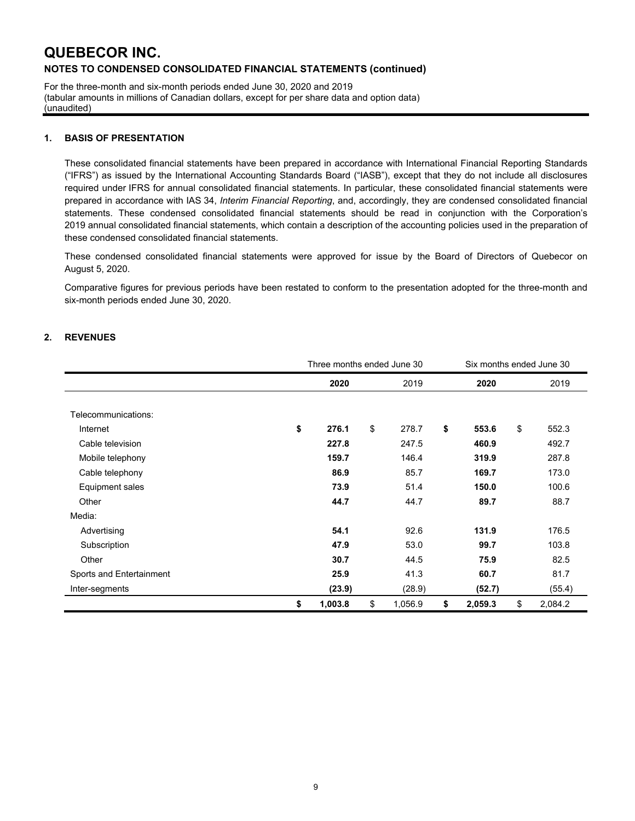For the three-month and six-month periods ended June 30, 2020 and 2019 (tabular amounts in millions of Canadian dollars, except for per share data and option data) (unaudited)

### **1. BASIS OF PRESENTATION**

These consolidated financial statements have been prepared in accordance with International Financial Reporting Standards ("IFRS") as issued by the International Accounting Standards Board ("IASB"), except that they do not include all disclosures required under IFRS for annual consolidated financial statements. In particular, these consolidated financial statements were prepared in accordance with IAS 34, *Interim Financial Reporting*, and, accordingly, they are condensed consolidated financial statements. These condensed consolidated financial statements should be read in conjunction with the Corporation's 2019 annual consolidated financial statements, which contain a description of the accounting policies used in the preparation of these condensed consolidated financial statements.

These condensed consolidated financial statements were approved for issue by the Board of Directors of Quebecor on August 5, 2020.

Comparative figures for previous periods have been restated to conform to the presentation adopted for the three-month and six-month periods ended June 30, 2020.

### **2. REVENUES**

|                          | Three months ended June 30 |               | Six months ended June 30 |               |
|--------------------------|----------------------------|---------------|--------------------------|---------------|
|                          | 2020                       | 2019          | 2020                     | 2019          |
|                          |                            |               |                          |               |
| Telecommunications:      |                            |               |                          |               |
| Internet                 | \$<br>276.1                | \$<br>278.7   | \$<br>553.6              | \$<br>552.3   |
| Cable television         | 227.8                      | 247.5         | 460.9                    | 492.7         |
| Mobile telephony         | 159.7                      | 146.4         | 319.9                    | 287.8         |
| Cable telephony          | 86.9                       | 85.7          | 169.7                    | 173.0         |
| Equipment sales          | 73.9                       | 51.4          | 150.0                    | 100.6         |
| Other                    | 44.7                       | 44.7          | 89.7                     | 88.7          |
| Media:                   |                            |               |                          |               |
| Advertising              | 54.1                       | 92.6          | 131.9                    | 176.5         |
| Subscription             | 47.9                       | 53.0          | 99.7                     | 103.8         |
| Other                    | 30.7                       | 44.5          | 75.9                     | 82.5          |
| Sports and Entertainment | 25.9                       | 41.3          | 60.7                     | 81.7          |
| Inter-segments           | (23.9)                     | (28.9)        | (52.7)                   | (55.4)        |
|                          | \$<br>1,003.8              | \$<br>1,056.9 | \$<br>2,059.3            | \$<br>2,084.2 |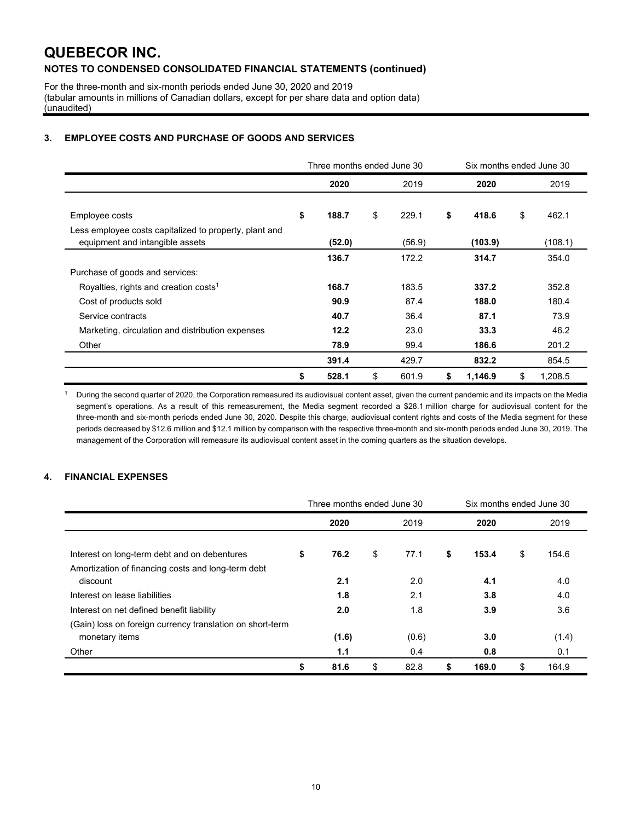For the three-month and six-month periods ended June 30, 2020 and 2019 (tabular amounts in millions of Canadian dollars, except for per share data and option data) (unaudited)

### **3. EMPLOYEE COSTS AND PURCHASE OF GOODS AND SERVICES**

|                                                                                           | Three months ended June 30 |             | Six months ended June 30 |               |
|-------------------------------------------------------------------------------------------|----------------------------|-------------|--------------------------|---------------|
|                                                                                           | 2020                       | 2019        | 2020                     | 2019          |
| Employee costs                                                                            | \$<br>188.7                | \$<br>229.1 | \$<br>418.6              | \$<br>462.1   |
| Less employee costs capitalized to property, plant and<br>equipment and intangible assets | (52.0)                     | (56.9)      | (103.9)                  | (108.1)       |
|                                                                                           | 136.7                      | 172.2       | 314.7                    | 354.0         |
| Purchase of goods and services:                                                           |                            |             |                          |               |
| Royalties, rights and creation costs <sup>1</sup>                                         | 168.7                      | 183.5       | 337.2                    | 352.8         |
| Cost of products sold                                                                     | 90.9                       | 87.4        | 188.0                    | 180.4         |
| Service contracts                                                                         | 40.7                       | 36.4        | 87.1                     | 73.9          |
| Marketing, circulation and distribution expenses                                          | 12.2                       | 23.0        | 33.3                     | 46.2          |
| Other                                                                                     | 78.9                       | 99.4        | 186.6                    | 201.2         |
|                                                                                           | 391.4                      | 429.7       | 832.2                    | 854.5         |
|                                                                                           | \$<br>528.1                | \$<br>601.9 | \$<br>1,146.9            | \$<br>1.208.5 |

<sup>1</sup> During the second quarter of 2020, the Corporation remeasured its audiovisual content asset, given the current pandemic and its impacts on the Media segment's operations. As a result of this remeasurement, the Media segment recorded a \$28.1 million charge for audiovisual content for the three-month and six-month periods ended June 30, 2020. Despite this charge, audiovisual content rights and costs of the Media segment for these periods decreased by \$12.6 million and \$12.1 million by comparison with the respective three-month and six-month periods ended June 30, 2019. The management of the Corporation will remeasure its audiovisual content asset in the coming quarters as the situation develops.

### **4. FINANCIAL EXPENSES**

|                                                                             | Three months ended June 30<br>Six months ended June 30 |       |    |       |    |       |             |
|-----------------------------------------------------------------------------|--------------------------------------------------------|-------|----|-------|----|-------|-------------|
|                                                                             |                                                        | 2020  |    | 2019  |    | 2020  | 2019        |
| Interest on long-term debt and on debentures                                | \$                                                     | 76.2  | \$ | 77.1  | \$ | 153.4 | \$<br>154.6 |
| Amortization of financing costs and long-term debt<br>discount              |                                                        | 2.1   |    | 2.0   |    | 4.1   | 4.0         |
| Interest on lease liabilities                                               |                                                        | 1.8   |    | 2.1   |    | 3.8   | 4.0         |
| Interest on net defined benefit liability                                   |                                                        | 2.0   |    | 1.8   |    | 3.9   | 3.6         |
| (Gain) loss on foreign currency translation on short-term<br>monetary items |                                                        | (1.6) |    | (0.6) |    | 3.0   | (1.4)       |
| Other                                                                       |                                                        | 1.1   |    | 0.4   |    | 0.8   | 0.1         |
|                                                                             | \$                                                     | 81.6  | \$ | 82.8  | \$ | 169.0 | \$<br>164.9 |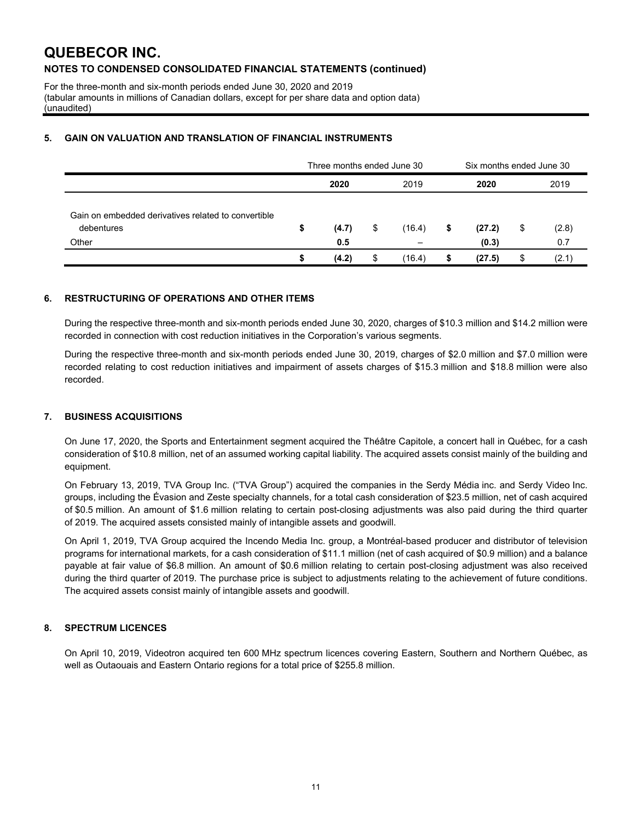For the three-month and six-month periods ended June 30, 2020 and 2019 (tabular amounts in millions of Canadian dollars, except for per share data and option data) (unaudited)

### **5. GAIN ON VALUATION AND TRANSLATION OF FINANCIAL INSTRUMENTS**

|                                                                   | Three months ended June 30 |       |    |        | Six months ended June 30 |        |    |       |
|-------------------------------------------------------------------|----------------------------|-------|----|--------|--------------------------|--------|----|-------|
|                                                                   |                            | 2020  |    | 2019   |                          | 2020   |    | 2019  |
| Gain on embedded derivatives related to convertible<br>debentures | \$                         | (4.7) | \$ | (16.4) | S                        | (27.2) | \$ | (2.8) |
| Other                                                             |                            | 0.5   |    |        |                          | (0.3)  |    | 0.7   |
|                                                                   |                            | (4.2) | \$ | (16.4) |                          | (27.5) |    | (2.1) |

### **6. RESTRUCTURING OF OPERATIONS AND OTHER ITEMS**

During the respective three-month and six-month periods ended June 30, 2020, charges of \$10.3 million and \$14.2 million were recorded in connection with cost reduction initiatives in the Corporation's various segments.

During the respective three-month and six-month periods ended June 30, 2019, charges of \$2.0 million and \$7.0 million were recorded relating to cost reduction initiatives and impairment of assets charges of \$15.3 million and \$18.8 million were also recorded.

### **7. BUSINESS ACQUISITIONS**

On June 17, 2020, the Sports and Entertainment segment acquired the Théâtre Capitole, a concert hall in Québec, for a cash consideration of \$10.8 million, net of an assumed working capital liability. The acquired assets consist mainly of the building and equipment.

On February 13, 2019, TVA Group Inc. ("TVA Group") acquired the companies in the Serdy Média inc. and Serdy Video Inc. groups, including the Évasion and Zeste specialty channels, for a total cash consideration of \$23.5 million, net of cash acquired of \$0.5 million. An amount of \$1.6 million relating to certain post-closing adjustments was also paid during the third quarter of 2019. The acquired assets consisted mainly of intangible assets and goodwill.

On April 1, 2019, TVA Group acquired the Incendo Media Inc. group, a Montréal-based producer and distributor of television programs for international markets, for a cash consideration of \$11.1 million (net of cash acquired of \$0.9 million) and a balance payable at fair value of \$6.8 million. An amount of \$0.6 million relating to certain post-closing adjustment was also received during the third quarter of 2019. The purchase price is subject to adjustments relating to the achievement of future conditions. The acquired assets consist mainly of intangible assets and goodwill.

### **8. SPECTRUM LICENCES**

On April 10, 2019, Videotron acquired ten 600 MHz spectrum licences covering Eastern, Southern and Northern Québec, as well as Outaouais and Eastern Ontario regions for a total price of \$255.8 million.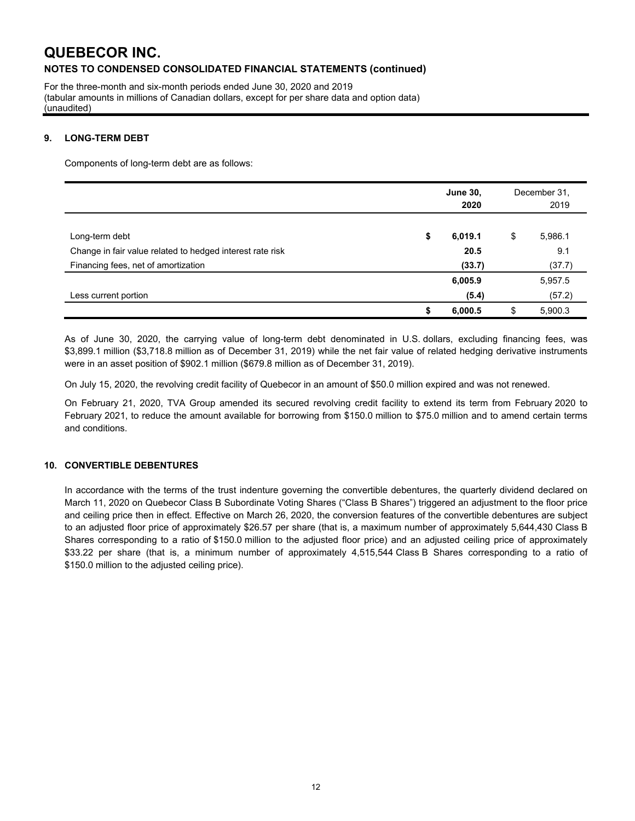For the three-month and six-month periods ended June 30, 2020 and 2019 (tabular amounts in millions of Canadian dollars, except for per share data and option data) (unaudited)

### **9. LONG-TERM DEBT**

Components of long-term debt are as follows:

|                                                           | <b>June 30,</b><br>2020 | December 31,<br>2019 |         |
|-----------------------------------------------------------|-------------------------|----------------------|---------|
| Long-term debt                                            | \$<br>6,019.1           | \$                   | 5,986.1 |
| Change in fair value related to hedged interest rate risk | 20.5                    |                      | 9.1     |
| Financing fees, net of amortization                       | (33.7)                  |                      | (37.7)  |
|                                                           | 6,005.9                 |                      | 5,957.5 |
| Less current portion                                      | (5.4)                   |                      | (57.2)  |
|                                                           | \$<br>6,000.5           | \$                   | 5,900.3 |

As of June 30, 2020, the carrying value of long-term debt denominated in U.S. dollars, excluding financing fees, was \$3,899.1 million (\$3,718.8 million as of December 31, 2019) while the net fair value of related hedging derivative instruments were in an asset position of \$902.1 million (\$679.8 million as of December 31, 2019).

On July 15, 2020, the revolving credit facility of Quebecor in an amount of \$50.0 million expired and was not renewed.

On February 21, 2020, TVA Group amended its secured revolving credit facility to extend its term from February 2020 to February 2021, to reduce the amount available for borrowing from \$150.0 million to \$75.0 million and to amend certain terms and conditions.

#### **10. CONVERTIBLE DEBENTURES**

In accordance with the terms of the trust indenture governing the convertible debentures, the quarterly dividend declared on March 11, 2020 on Quebecor Class B Subordinate Voting Shares ("Class B Shares") triggered an adjustment to the floor price and ceiling price then in effect. Effective on March 26, 2020, the conversion features of the convertible debentures are subject to an adjusted floor price of approximately \$26.57 per share (that is, a maximum number of approximately 5,644,430 Class B Shares corresponding to a ratio of \$150.0 million to the adjusted floor price) and an adjusted ceiling price of approximately \$33.22 per share (that is, a minimum number of approximately 4,515,544 Class B Shares corresponding to a ratio of \$150.0 million to the adjusted ceiling price).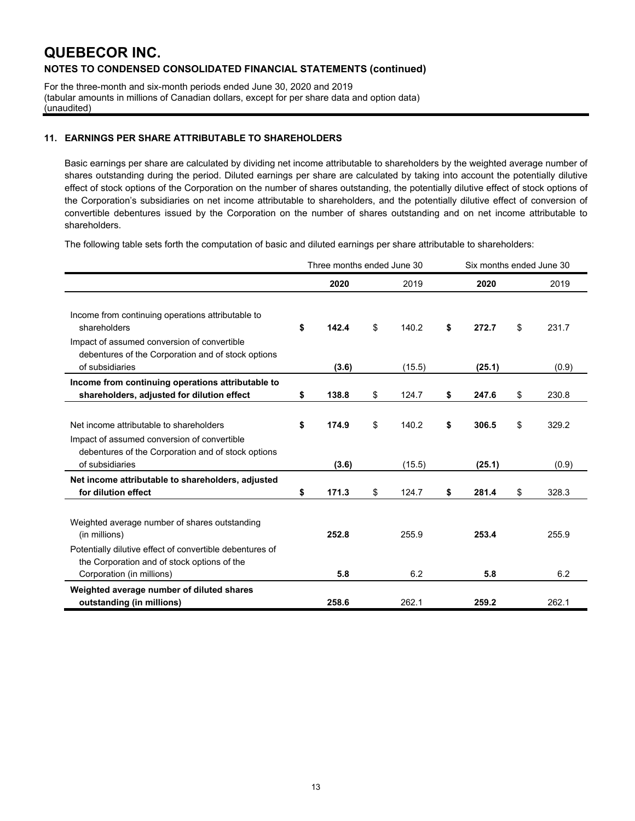For the three-month and six-month periods ended June 30, 2020 and 2019 (tabular amounts in millions of Canadian dollars, except for per share data and option data) (unaudited)

### **11. EARNINGS PER SHARE ATTRIBUTABLE TO SHAREHOLDERS**

Basic earnings per share are calculated by dividing net income attributable to shareholders by the weighted average number of shares outstanding during the period. Diluted earnings per share are calculated by taking into account the potentially dilutive effect of stock options of the Corporation on the number of shares outstanding, the potentially dilutive effect of stock options of the Corporation's subsidiaries on net income attributable to shareholders, and the potentially dilutive effect of conversion of convertible debentures issued by the Corporation on the number of shares outstanding and on net income attributable to shareholders.

The following table sets forth the computation of basic and diluted earnings per share attributable to shareholders:

|                                                                                                                                                                           | Three months ended June 30 |       |    |        | Six months ended June 30 |    |       |
|---------------------------------------------------------------------------------------------------------------------------------------------------------------------------|----------------------------|-------|----|--------|--------------------------|----|-------|
|                                                                                                                                                                           |                            | 2020  |    | 2019   | 2020                     |    | 2019  |
| Income from continuing operations attributable to<br>shareholders<br>Impact of assumed conversion of convertible<br>debentures of the Corporation and of stock options    | \$                         | 142.4 | \$ | 140.2  | \$<br>272.7              | \$ | 231.7 |
| of subsidiaries                                                                                                                                                           |                            | (3.6) |    | (15.5) | (25.1)                   |    | (0.9) |
| Income from continuing operations attributable to<br>shareholders, adjusted for dilution effect                                                                           | \$                         | 138.8 | \$ | 124.7  | \$<br>247.6              | \$ | 230.8 |
| Net income attributable to shareholders<br>Impact of assumed conversion of convertible<br>debentures of the Corporation and of stock options                              | \$                         | 174.9 | \$ | 140.2  | \$<br>306.5              | \$ | 329.2 |
| of subsidiaries                                                                                                                                                           |                            | (3.6) |    | (15.5) | (25.1)                   |    | (0.9) |
| Net income attributable to shareholders, adjusted<br>for dilution effect                                                                                                  | \$                         | 171.3 | \$ | 124.7  | \$<br>281.4              | \$ | 328.3 |
| Weighted average number of shares outstanding<br>(in millions)<br>Potentially dilutive effect of convertible debentures of<br>the Corporation and of stock options of the |                            | 252.8 |    | 255.9  | 253.4                    |    | 255.9 |
| Corporation (in millions)                                                                                                                                                 |                            | 5.8   |    | 6.2    | 5.8                      |    | 6.2   |
| Weighted average number of diluted shares<br>outstanding (in millions)                                                                                                    |                            | 258.6 |    | 262.1  | 259.2                    |    | 262.1 |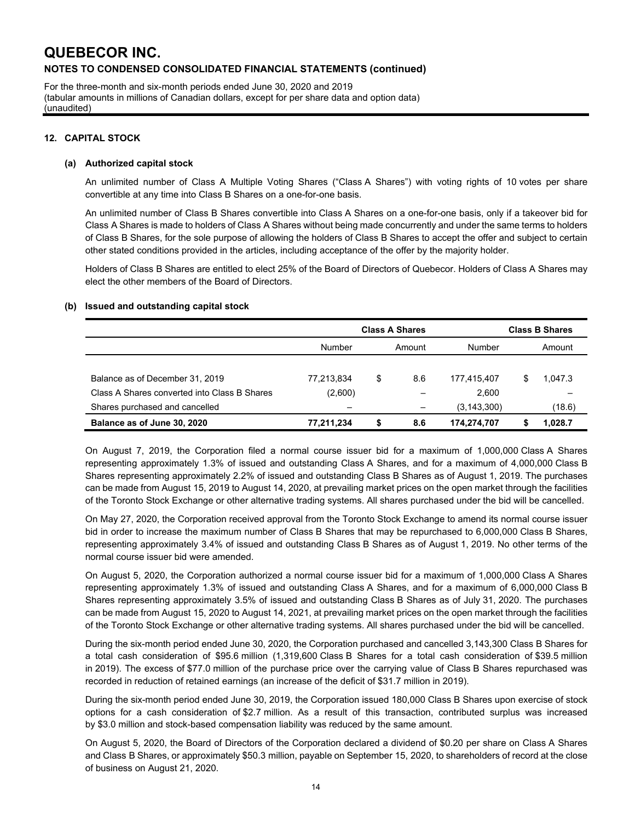For the three-month and six-month periods ended June 30, 2020 and 2019 (tabular amounts in millions of Canadian dollars, except for per share data and option data) (unaudited)

### **12. CAPITAL STOCK**

#### **(a) Authorized capital stock**

An unlimited number of Class A Multiple Voting Shares ("Class A Shares") with voting rights of 10 votes per share convertible at any time into Class B Shares on a one-for-one basis.

An unlimited number of Class B Shares convertible into Class A Shares on a one-for-one basis, only if a takeover bid for Class A Shares is made to holders of Class A Shares without being made concurrently and under the same terms to holders of Class B Shares, for the sole purpose of allowing the holders of Class B Shares to accept the offer and subject to certain other stated conditions provided in the articles, including acceptance of the offer by the majority holder.

Holders of Class B Shares are entitled to elect 25% of the Board of Directors of Quebecor. Holders of Class A Shares may elect the other members of the Board of Directors.

#### **(b) Issued and outstanding capital stock**

|                                              | <b>Class A Shares</b> |    | <b>Class B Shares</b> |               |    |         |
|----------------------------------------------|-----------------------|----|-----------------------|---------------|----|---------|
|                                              | Number                |    | Amount                | Number        |    | Amount  |
|                                              |                       |    |                       |               |    |         |
| Balance as of December 31, 2019              | 77,213,834            | \$ | 8.6                   | 177.415.407   | \$ | 1.047.3 |
| Class A Shares converted into Class B Shares | (2,600)               |    |                       | 2,600         |    |         |
| Shares purchased and cancelled               | -                     |    | $\qquad \qquad -$     | (3, 143, 300) |    | (18.6)  |
| Balance as of June 30, 2020                  | 77,211,234            | \$ | 8.6                   | 174,274,707   |    | 1.028.7 |

On August 7, 2019, the Corporation filed a normal course issuer bid for a maximum of 1,000,000 Class A Shares representing approximately 1.3% of issued and outstanding Class A Shares, and for a maximum of 4,000,000 Class B Shares representing approximately 2.2% of issued and outstanding Class B Shares as of August 1, 2019. The purchases can be made from August 15, 2019 to August 14, 2020, at prevailing market prices on the open market through the facilities of the Toronto Stock Exchange or other alternative trading systems. All shares purchased under the bid will be cancelled.

On May 27, 2020, the Corporation received approval from the Toronto Stock Exchange to amend its normal course issuer bid in order to increase the maximum number of Class B Shares that may be repurchased to 6,000,000 Class B Shares, representing approximately 3.4% of issued and outstanding Class B Shares as of August 1, 2019. No other terms of the normal course issuer bid were amended.

On August 5, 2020, the Corporation authorized a normal course issuer bid for a maximum of 1,000,000 Class A Shares representing approximately 1.3% of issued and outstanding Class A Shares, and for a maximum of 6,000,000 Class B Shares representing approximately 3.5% of issued and outstanding Class B Shares as of July 31, 2020. The purchases can be made from August 15, 2020 to August 14, 2021, at prevailing market prices on the open market through the facilities of the Toronto Stock Exchange or other alternative trading systems. All shares purchased under the bid will be cancelled.

During the six-month period ended June 30, 2020, the Corporation purchased and cancelled 3,143,300 Class B Shares for a total cash consideration of \$95.6 million (1,319,600 Class B Shares for a total cash consideration of \$39.5 million in 2019). The excess of \$77.0 million of the purchase price over the carrying value of Class B Shares repurchased was recorded in reduction of retained earnings (an increase of the deficit of \$31.7 million in 2019).

During the six-month period ended June 30, 2019, the Corporation issued 180,000 Class B Shares upon exercise of stock options for a cash consideration of \$2.7 million. As a result of this transaction, contributed surplus was increased by \$3.0 million and stock-based compensation liability was reduced by the same amount.

On August 5, 2020, the Board of Directors of the Corporation declared a dividend of \$0.20 per share on Class A Shares and Class B Shares, or approximately \$50.3 million, payable on September 15, 2020, to shareholders of record at the close of business on August 21, 2020.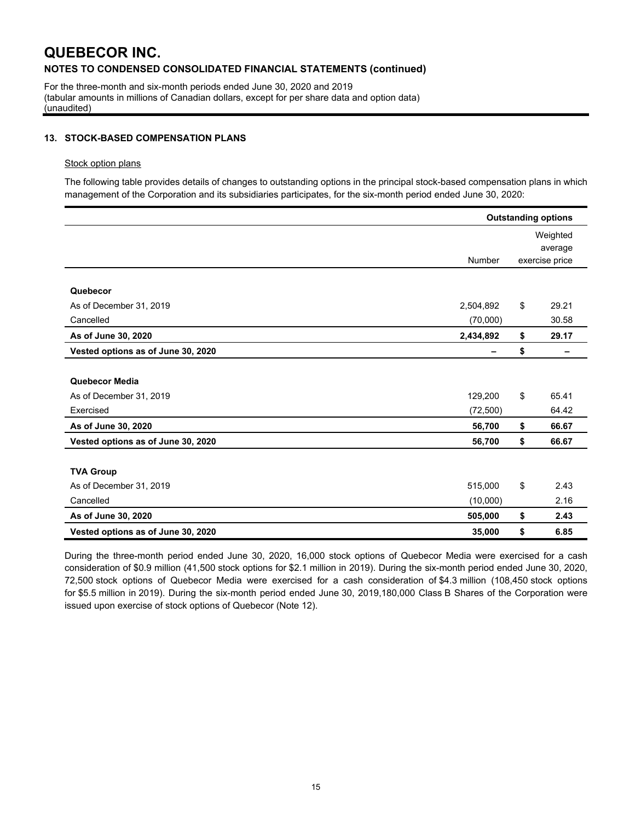For the three-month and six-month periods ended June 30, 2020 and 2019 (tabular amounts in millions of Canadian dollars, except for per share data and option data) (unaudited)

### **13. STOCK-BASED COMPENSATION PLANS**

#### Stock option plans

The following table provides details of changes to outstanding options in the principal stock-based compensation plans in which management of the Corporation and its subsidiaries participates, for the six-month period ended June 30, 2020:

|                                    | <b>Outstanding options</b> |    |                                       |  |  |  |
|------------------------------------|----------------------------|----|---------------------------------------|--|--|--|
|                                    | Number                     |    | Weighted<br>average<br>exercise price |  |  |  |
| Quebecor                           |                            |    |                                       |  |  |  |
| As of December 31, 2019            | 2,504,892                  | \$ | 29.21                                 |  |  |  |
| Cancelled                          | (70,000)                   |    | 30.58                                 |  |  |  |
| As of June 30, 2020                | 2,434,892                  | \$ | 29.17                                 |  |  |  |
| Vested options as of June 30, 2020 |                            | \$ |                                       |  |  |  |
| Quebecor Media                     |                            |    |                                       |  |  |  |
| As of December 31, 2019            | 129,200                    | \$ | 65.41                                 |  |  |  |
| Exercised                          | (72, 500)                  |    | 64.42                                 |  |  |  |
| As of June 30, 2020                | 56,700                     | \$ | 66.67                                 |  |  |  |
| Vested options as of June 30, 2020 | 56,700                     | \$ | 66.67                                 |  |  |  |
| <b>TVA Group</b>                   |                            |    |                                       |  |  |  |
| As of December 31, 2019            | 515,000                    | \$ | 2.43                                  |  |  |  |
| Cancelled                          | (10,000)                   |    | 2.16                                  |  |  |  |
| As of June 30, 2020                | 505,000                    | \$ | 2.43                                  |  |  |  |
| Vested options as of June 30, 2020 | 35,000                     | \$ | 6.85                                  |  |  |  |

During the three-month period ended June 30, 2020, 16,000 stock options of Quebecor Media were exercised for a cash consideration of \$0.9 million (41,500 stock options for \$2.1 million in 2019). During the six-month period ended June 30, 2020, 72,500 stock options of Quebecor Media were exercised for a cash consideration of \$4.3 million (108,450 stock options for \$5.5 million in 2019). During the six-month period ended June 30, 2019,180,000 Class B Shares of the Corporation were issued upon exercise of stock options of Quebecor (Note 12).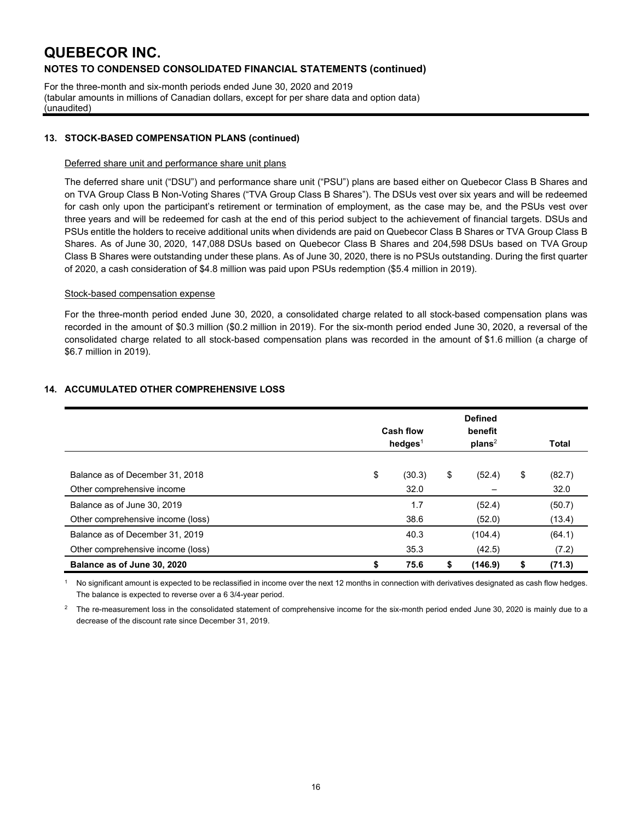For the three-month and six-month periods ended June 30, 2020 and 2019 (tabular amounts in millions of Canadian dollars, except for per share data and option data) (unaudited)

### **13. STOCK-BASED COMPENSATION PLANS (continued)**

#### Deferred share unit and performance share unit plans

The deferred share unit ("DSU") and performance share unit ("PSU") plans are based either on Quebecor Class B Shares and on TVA Group Class B Non-Voting Shares ("TVA Group Class B Shares"). The DSUs vest over six years and will be redeemed for cash only upon the participant's retirement or termination of employment, as the case may be, and the PSUs vest over three years and will be redeemed for cash at the end of this period subject to the achievement of financial targets. DSUs and PSUs entitle the holders to receive additional units when dividends are paid on Quebecor Class B Shares or TVA Group Class B Shares. As of June 30, 2020, 147,088 DSUs based on Quebecor Class B Shares and 204,598 DSUs based on TVA Group Class B Shares were outstanding under these plans. As of June 30, 2020, there is no PSUs outstanding. During the first quarter of 2020, a cash consideration of \$4.8 million was paid upon PSUs redemption (\$5.4 million in 2019).

#### Stock-based compensation expense

For the three-month period ended June 30, 2020, a consolidated charge related to all stock-based compensation plans was recorded in the amount of \$0.3 million (\$0.2 million in 2019). For the six-month period ended June 30, 2020, a reversal of the consolidated charge related to all stock-based compensation plans was recorded in the amount of \$1.6 million (a charge of \$6.7 million in 2019).

|                                   | <b>Cash flow</b><br>hedges $1$ |    | <b>Defined</b><br>benefit<br>plans <sup>2</sup> |    | Total  |
|-----------------------------------|--------------------------------|----|-------------------------------------------------|----|--------|
|                                   |                                |    |                                                 |    |        |
| Balance as of December 31, 2018   | \$<br>(30.3)                   | \$ | (52.4)                                          | \$ | (82.7) |
| Other comprehensive income        | 32.0                           |    |                                                 |    | 32.0   |
| Balance as of June 30, 2019       | 1.7                            |    | (52.4)                                          |    | (50.7) |
| Other comprehensive income (loss) | 38.6                           |    | (52.0)                                          |    | (13.4) |
| Balance as of December 31, 2019   | 40.3                           |    | (104.4)                                         |    | (64.1) |
| Other comprehensive income (loss) | 35.3                           |    | (42.5)                                          |    | (7.2)  |
| Balance as of June 30, 2020       | \$<br>75.6                     | ъ  | (146.9)                                         | S  | (71.3) |

### **14. ACCUMULATED OTHER COMPREHENSIVE LOSS**

 $1$  No significant amount is expected to be reclassified in income over the next 12 months in connection with derivatives designated as cash flow hedges. The balance is expected to reverse over a 6 3/4-year period.

<sup>2</sup> The re-measurement loss in the consolidated statement of comprehensive income for the six-month period ended June 30, 2020 is mainly due to a decrease of the discount rate since December 31, 2019.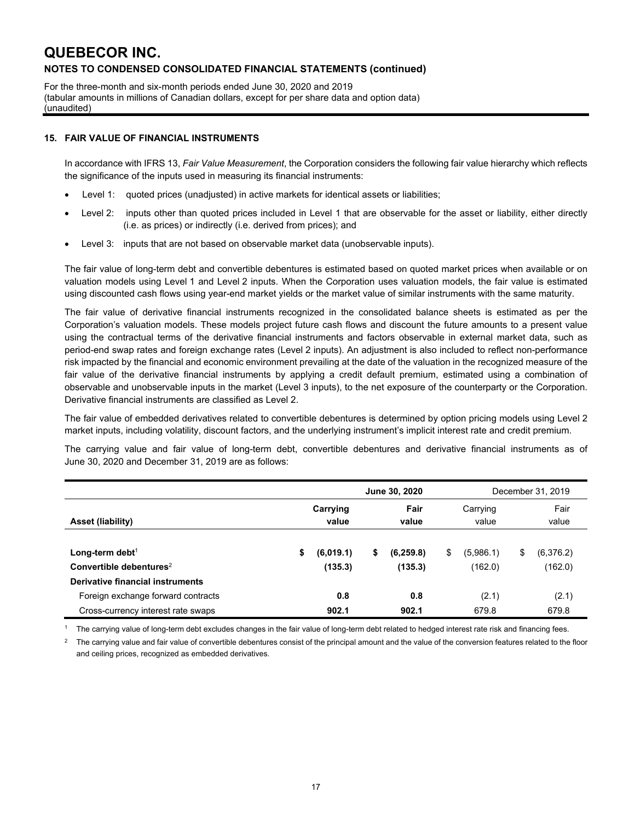For the three-month and six-month periods ended June 30, 2020 and 2019 (tabular amounts in millions of Canadian dollars, except for per share data and option data) (unaudited)

### **15. FAIR VALUE OF FINANCIAL INSTRUMENTS**

In accordance with IFRS 13, *Fair Value Measurement*, the Corporation considers the following fair value hierarchy which reflects the significance of the inputs used in measuring its financial instruments:

- Level 1: quoted prices (unadjusted) in active markets for identical assets or liabilities;
- Level 2: inputs other than quoted prices included in Level 1 that are observable for the asset or liability, either directly (i.e. as prices) or indirectly (i.e. derived from prices); and
- Level 3: inputs that are not based on observable market data (unobservable inputs).

The fair value of long-term debt and convertible debentures is estimated based on quoted market prices when available or on valuation models using Level 1 and Level 2 inputs. When the Corporation uses valuation models, the fair value is estimated using discounted cash flows using year-end market yields or the market value of similar instruments with the same maturity.

The fair value of derivative financial instruments recognized in the consolidated balance sheets is estimated as per the Corporation's valuation models. These models project future cash flows and discount the future amounts to a present value using the contractual terms of the derivative financial instruments and factors observable in external market data, such as period-end swap rates and foreign exchange rates (Level 2 inputs). An adjustment is also included to reflect non-performance risk impacted by the financial and economic environment prevailing at the date of the valuation in the recognized measure of the fair value of the derivative financial instruments by applying a credit default premium, estimated using a combination of observable and unobservable inputs in the market (Level 3 inputs), to the net exposure of the counterparty or the Corporation. Derivative financial instruments are classified as Level 2.

The fair value of embedded derivatives related to convertible debentures is determined by option pricing models using Level 2 market inputs, including volatility, discount factors, and the underlying instrument's implicit interest rate and credit premium.

The carrying value and fair value of long-term debt, convertible debentures and derivative financial instruments as of June 30, 2020 and December 31, 2019 are as follows:

|                                                                          | <b>June 30, 2020</b> |                      |    |                       |    | December 31, 2019    |    |                      |
|--------------------------------------------------------------------------|----------------------|----------------------|----|-----------------------|----|----------------------|----|----------------------|
| Asset (liability)                                                        |                      | Carrying<br>value    |    | Fair<br>value         |    | Carrying<br>value    |    | Fair<br>value        |
| Long-term debt <sup>1</sup><br>Convertible debentures <sup>2</sup>       | \$                   | (6,019.1)<br>(135.3) | \$ | (6, 259.8)<br>(135.3) | \$ | (5,986.1)<br>(162.0) | \$ | (6,376.2)<br>(162.0) |
| Derivative financial instruments                                         |                      |                      |    |                       |    |                      |    |                      |
| Foreign exchange forward contracts<br>Cross-currency interest rate swaps |                      | 0.8<br>902.1         |    | 0.8<br>902.1          |    | (2.1)<br>679.8       |    | (2.1)<br>679.8       |

<sup>1</sup> The carrying value of long-term debt excludes changes in the fair value of long-term debt related to hedged interest rate risk and financing fees.

<sup>2</sup> The carrying value and fair value of convertible debentures consist of the principal amount and the value of the conversion features related to the floor and ceiling prices, recognized as embedded derivatives.